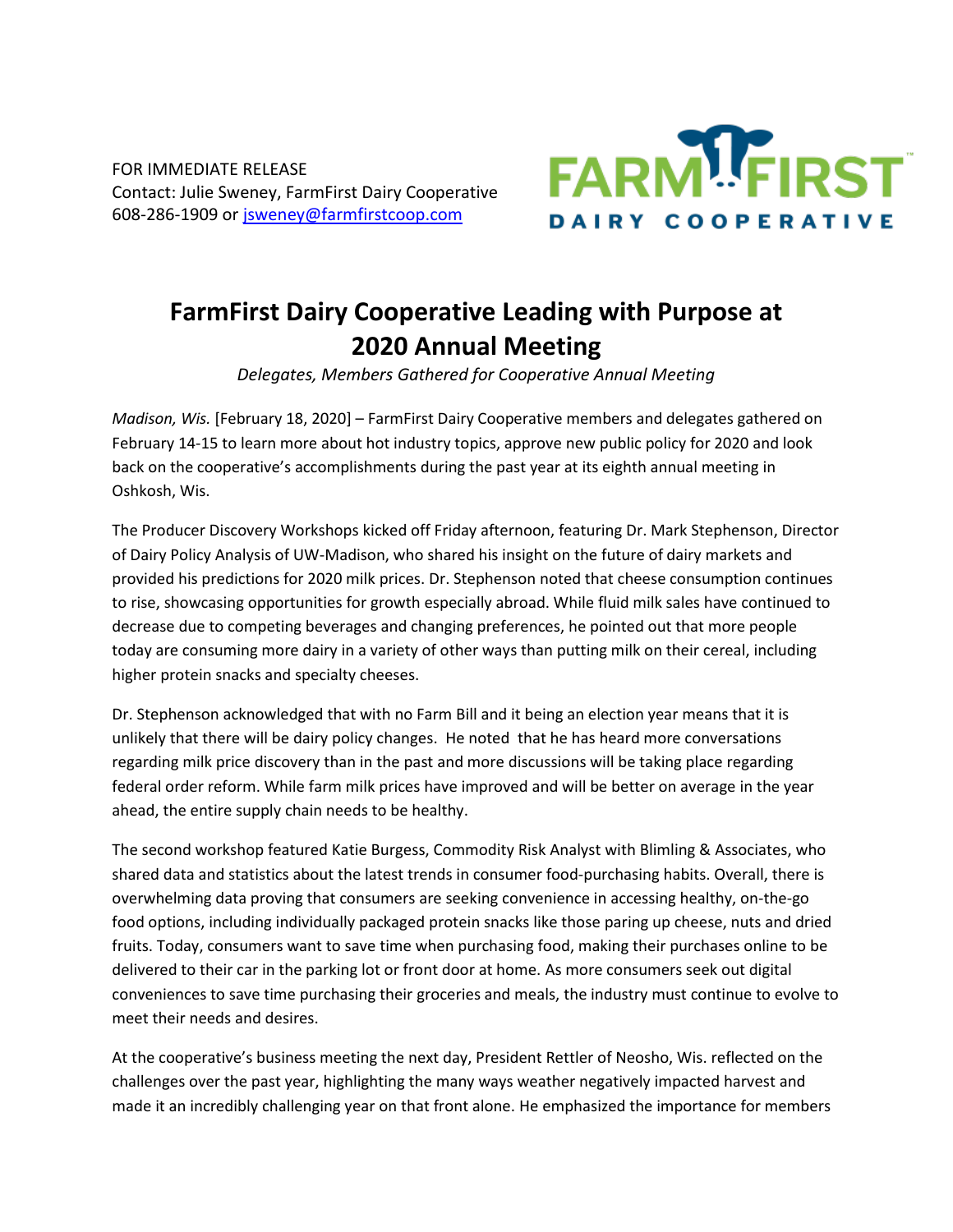FOR IMMEDIATE RELEASE Contact: Julie Sweney, FarmFirst Dairy Cooperative 608-286-1909 or [jsweney@farmfirstcoop.com](mailto:jsweney@farmfirstcoop.com)



## **FarmFirst Dairy Cooperative Leading with Purpose at 2020 Annual Meeting**

*Delegates, Members Gathered for Cooperative Annual Meeting*

*Madison, Wis.* [February 18, 2020] – FarmFirst Dairy Cooperative members and delegates gathered on February 14-15 to learn more about hot industry topics, approve new public policy for 2020 and look back on the cooperative's accomplishments during the past year at its eighth annual meeting in Oshkosh, Wis.

The Producer Discovery Workshops kicked off Friday afternoon, featuring Dr. Mark Stephenson, Director of Dairy Policy Analysis of UW-Madison, who shared his insight on the future of dairy markets and provided his predictions for 2020 milk prices. Dr. Stephenson noted that cheese consumption continues to rise, showcasing opportunities for growth especially abroad. While fluid milk sales have continued to decrease due to competing beverages and changing preferences, he pointed out that more people today are consuming more dairy in a variety of other ways than putting milk on their cereal, including higher protein snacks and specialty cheeses.

Dr. Stephenson acknowledged that with no Farm Bill and it being an election year means that it is unlikely that there will be dairy policy changes. He noted that he has heard more conversations regarding milk price discovery than in the past and more discussions will be taking place regarding federal order reform. While farm milk prices have improved and will be better on average in the year ahead, the entire supply chain needs to be healthy.

The second workshop featured Katie Burgess, Commodity Risk Analyst with Blimling & Associates, who shared data and statistics about the latest trends in consumer food-purchasing habits. Overall, there is overwhelming data proving that consumers are seeking convenience in accessing healthy, on-the-go food options, including individually packaged protein snacks like those paring up cheese, nuts and dried fruits. Today, consumers want to save time when purchasing food, making their purchases online to be delivered to their car in the parking lot or front door at home. As more consumers seek out digital conveniences to save time purchasing their groceries and meals, the industry must continue to evolve to meet their needs and desires.

At the cooperative's business meeting the next day, President Rettler of Neosho, Wis. reflected on the challenges over the past year, highlighting the many ways weather negatively impacted harvest and made it an incredibly challenging year on that front alone. He emphasized the importance for members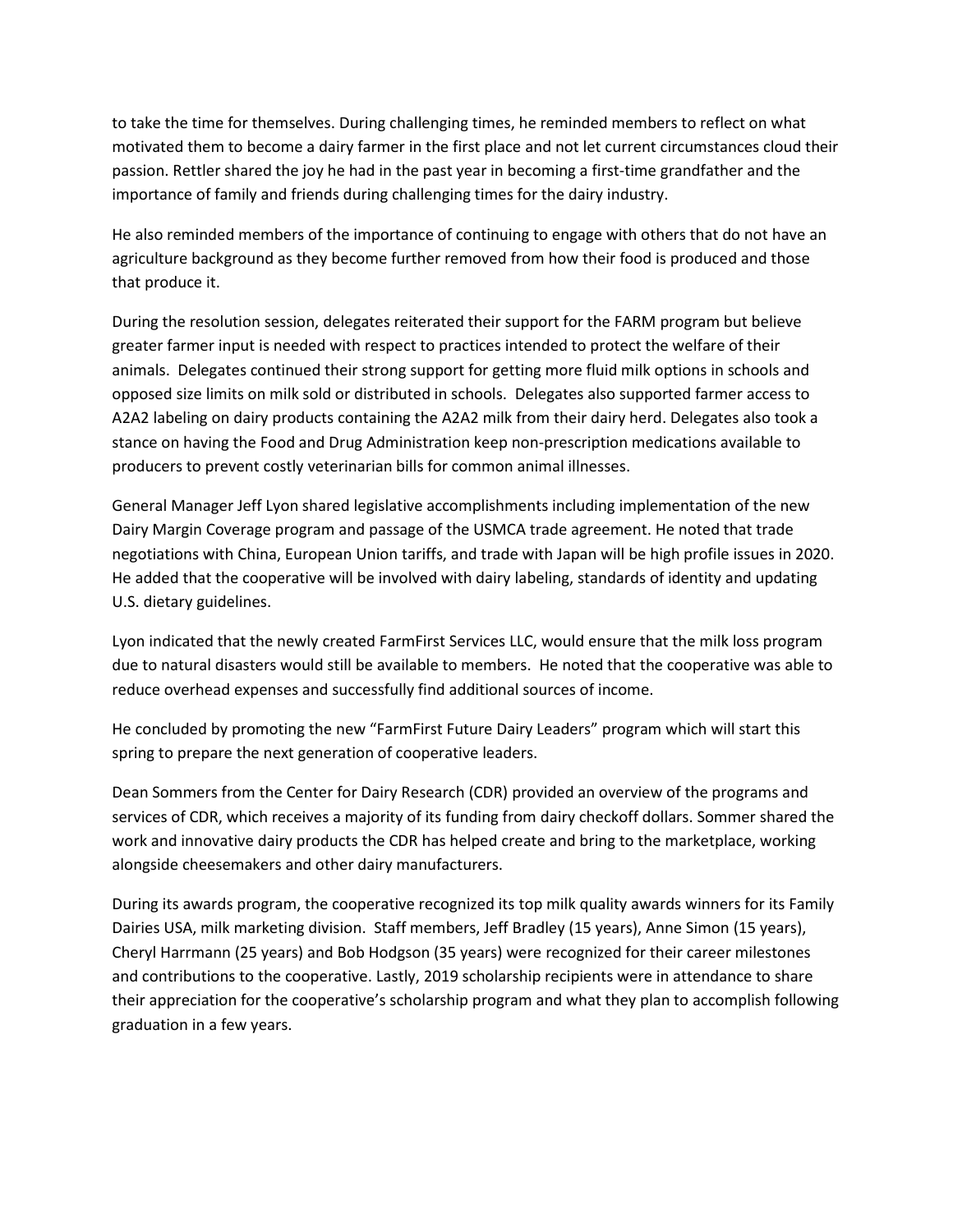to take the time for themselves. During challenging times, he reminded members to reflect on what motivated them to become a dairy farmer in the first place and not let current circumstances cloud their passion. Rettler shared the joy he had in the past year in becoming a first-time grandfather and the importance of family and friends during challenging times for the dairy industry.

He also reminded members of the importance of continuing to engage with others that do not have an agriculture background as they become further removed from how their food is produced and those that produce it.

During the resolution session, delegates reiterated their support for the FARM program but believe greater farmer input is needed with respect to practices intended to protect the welfare of their animals. Delegates continued their strong support for getting more fluid milk options in schools and opposed size limits on milk sold or distributed in schools. Delegates also supported farmer access to A2A2 labeling on dairy products containing the A2A2 milk from their dairy herd. Delegates also took a stance on having the Food and Drug Administration keep non-prescription medications available to producers to prevent costly veterinarian bills for common animal illnesses.

General Manager Jeff Lyon shared legislative accomplishments including implementation of the new Dairy Margin Coverage program and passage of the USMCA trade agreement. He noted that trade negotiations with China, European Union tariffs, and trade with Japan will be high profile issues in 2020. He added that the cooperative will be involved with dairy labeling, standards of identity and updating U.S. dietary guidelines.

Lyon indicated that the newly created FarmFirst Services LLC, would ensure that the milk loss program due to natural disasters would still be available to members. He noted that the cooperative was able to reduce overhead expenses and successfully find additional sources of income.

He concluded by promoting the new "FarmFirst Future Dairy Leaders" program which will start this spring to prepare the next generation of cooperative leaders.

Dean Sommers from the Center for Dairy Research (CDR) provided an overview of the programs and services of CDR, which receives a majority of its funding from dairy checkoff dollars. Sommer shared the work and innovative dairy products the CDR has helped create and bring to the marketplace, working alongside cheesemakers and other dairy manufacturers.

During its awards program, the cooperative recognized its top milk quality awards winners for its Family Dairies USA, milk marketing division. Staff members, Jeff Bradley (15 years), Anne Simon (15 years), Cheryl Harrmann (25 years) and Bob Hodgson (35 years) were recognized for their career milestones and contributions to the cooperative. Lastly, 2019 scholarship recipients were in attendance to share their appreciation for the cooperative's scholarship program and what they plan to accomplish following graduation in a few years.